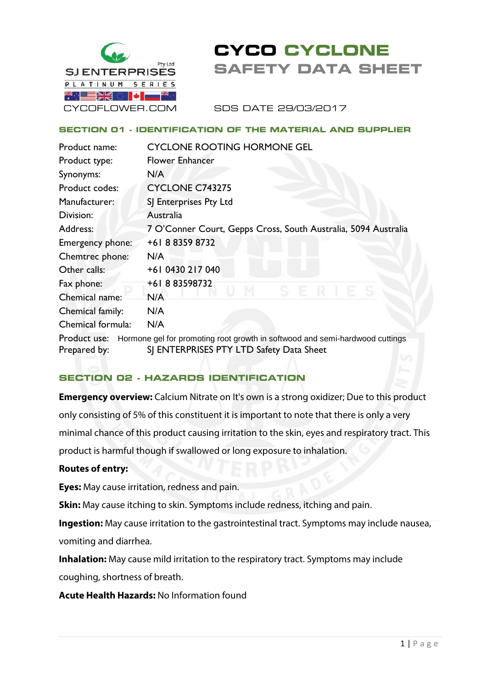

# **CYCO CYCLONE SAFETY DATA SHEET**

SDS DATE 29/03/2017

#### **SECTION 01 - IDENTIFICATION OF THE MATERIAL AND SUPPLIER**

| Product name:                                                                                | <b>CYCLONE ROOTING HORMONE GEL</b>                             |  |  |
|----------------------------------------------------------------------------------------------|----------------------------------------------------------------|--|--|
| Product type:                                                                                | <b>Flower Enhancer</b>                                         |  |  |
| Synonyms:                                                                                    | N/A                                                            |  |  |
| Product codes:                                                                               | <b>CYCLONE C743275</b>                                         |  |  |
| Manufacturer:                                                                                | SJ Enterprises Pty Ltd                                         |  |  |
| Division:                                                                                    | Australia                                                      |  |  |
| Address:                                                                                     | 7 O'Conner Court, Gepps Cross, South Australia, 5094 Australia |  |  |
| Emergency phone:                                                                             | +61883598732                                                   |  |  |
| Chemtrec phone:                                                                              | N/A                                                            |  |  |
| Other calls:                                                                                 | +61 0430 217 040                                               |  |  |
| Fax phone:                                                                                   | +61883598732                                                   |  |  |
| Chemical name:                                                                               | N/A                                                            |  |  |
| Chemical family:                                                                             | N/A                                                            |  |  |
| Chemical formula:                                                                            | N/A                                                            |  |  |
| Hormone gel for promoting root growth in softwood and semi-hardwood cuttings<br>Product use: |                                                                |  |  |
| Prepared by:                                                                                 | SJ ENTERPRISES PTY LTD Safety Data Sheet                       |  |  |

## **SECTION 02 - HAZARDS IDENTIFICATION**

**Emergency overview:** Calcium Nitrate on It's own is a strong oxidizer; Due to this product only consisting of 5% of this constituent it is important to note that there is only a very minimal chance of this product causing irritation to the skin, eyes and respiratory tract. This product is harmful though if swallowed or long exposure to inhalation.

#### **Routes of entry:**

**Eyes:** May cause irritation, redness and pain.

**Skin:** May cause itching to skin. Symptoms include redness, itching and pain.

**Ingestion:** May cause irritation to the gastrointestinal tract. Symptoms may include nausea, vomiting and diarrhea.

**Inhalation:** May cause mild irritation to the respiratory tract. Symptoms may include coughing, shortness of breath.

**Acute Health Hazards:** No Information found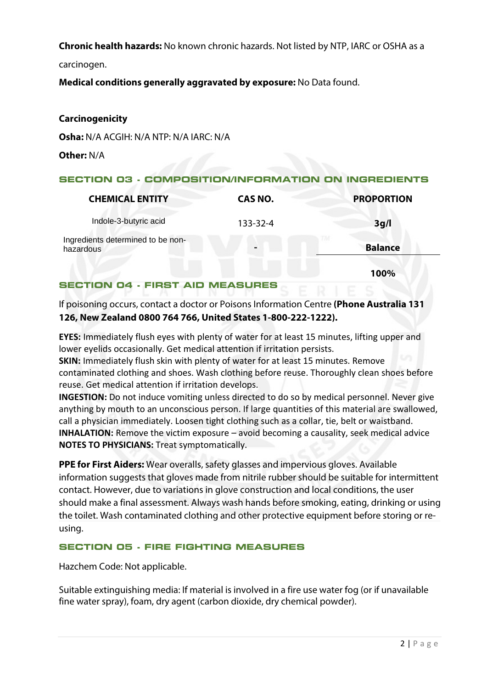**Chronic health hazards:** No known chronic hazards. Not listed by NTP, IARC or OSHA as a

carcinogen.

**Medical conditions generally aggravated by exposure:** No Data found.

## **Carcinogenicity**

**Osha:** N/A ACGIH: N/A NTP: N/A IARC: N/A

**Other:** N/A

## **SECTION 03 - COMPOSITION/INFORMATION ON INGREDIENTS**

| <b>CHEMICAL ENTITY</b>                         | CAS NO.  | <b>PROPORTION</b> |
|------------------------------------------------|----------|-------------------|
| Indole-3-butyric acid                          | 133-32-4 | 3g/l              |
| Ingredients determined to be non-<br>hazardous |          | <b>Balance</b>    |

**100%**

### **SECTION 04 - FIRST AID MEASURES**

If poisoning occurs, contact a doctor or Poisons Information Centre **(Phone Australia 131 126, New Zealand 0800 764 766, United States 1-800-222-1222).**

**EYES:** Immediately flush eyes with plenty of water for at least 15 minutes, lifting upper and lower eyelids occasionally. Get medical attention if irritation persists.

**SKIN:** Immediately flush skin with plenty of water for at least 15 minutes. Remove contaminated clothing and shoes. Wash clothing before reuse. Thoroughly clean shoes before reuse. Get medical attention if irritation develops.

**INGESTION:** Do not induce vomiting unless directed to do so by medical personnel. Never give anything by mouth to an unconscious person. If large quantities of this material are swallowed, call a physician immediately. Loosen tight clothing such as a collar, tie, belt or waistband. **INHALATION:** Remove the victim exposure – avoid becoming a causality, seek medical advice **NOTES TO PHYSICIANS:** Treat symptomatically.

**PPE for First Aiders:** Wear overalls, safety glasses and impervious gloves. Available information suggests that gloves made from nitrile rubber should be suitable for intermittent contact. However, due to variations in glove construction and local conditions, the user should make a final assessment. Always wash hands before smoking, eating, drinking or using the toilet. Wash contaminated clothing and other protective equipment before storing or reusing.

## **SECTION 05 - FIRE FIGHTING MEASURES**

Hazchem Code: Not applicable.

Suitable extinguishing media: If material is involved in a fire use water fog (or if unavailable fine water spray), foam, dry agent (carbon dioxide, dry chemical powder).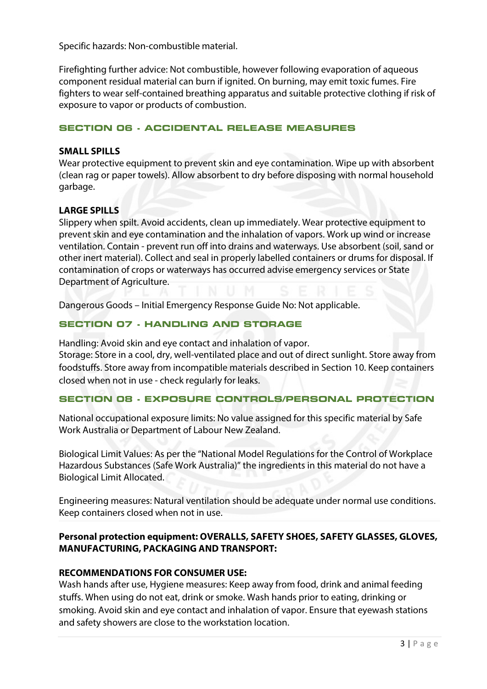Specific hazards: Non-combustible material.

Firefighting further advice: Not combustible, however following evaporation of aqueous component residual material can burn if ignited. On burning, may emit toxic fumes. Fire fighters to wear self-contained breathing apparatus and suitable protective clothing if risk of exposure to vapor or products of combustion.

#### **SECTION 06 - ACCIDENTAL RELEASE MEASURES**

#### **SMALL SPILLS**

Wear protective equipment to prevent skin and eye contamination. Wipe up with absorbent (clean rag or paper towels). Allow absorbent to dry before disposing with normal household garbage.

## **LARGE SPILLS**

Slippery when spilt. Avoid accidents, clean up immediately. Wear protective equipment to prevent skin and eye contamination and the inhalation of vapors. Work up wind or increase ventilation. Contain - prevent run off into drains and waterways. Use absorbent (soil, sand or other inert material). Collect and seal in properly labelled containers or drums for disposal. If contamination of crops or waterways has occurred advise emergency services or State Department of Agriculture.

Dangerous Goods – Initial Emergency Response Guide No: Not applicable.

## **SECTION 07 - HANDLING AND STORAGE**

Handling: Avoid skin and eye contact and inhalation of vapor.

Storage: Store in a cool, dry, well-ventilated place and out of direct sunlight. Store away from foodstuffs. Store away from incompatible materials described in Section 10. Keep containers closed when not in use - check regularly for leaks.

## **SECTION 08 - EXPOSURE CONTROLS/PERSONAL PROTECTION**

National occupational exposure limits: No value assigned for this specific material by Safe Work Australia or Department of Labour New Zealand.

Biological Limit Values: As per the "National Model Regulations for the Control of Workplace Hazardous Substances (Safe Work Australia)" the ingredients in this material do not have a Biological Limit Allocated.

Engineering measures: Natural ventilation should be adequate under normal use conditions. Keep containers closed when not in use.

## **Personal protection equipment: OVERALLS, SAFETY SHOES, SAFETY GLASSES, GLOVES, MANUFACTURING, PACKAGING AND TRANSPORT:**

## **RECOMMENDATIONS FOR CONSUMER USE:**

Wash hands after use, Hygiene measures: Keep away from food, drink and animal feeding stuffs. When using do not eat, drink or smoke. Wash hands prior to eating, drinking or smoking. Avoid skin and eye contact and inhalation of vapor. Ensure that eyewash stations and safety showers are close to the workstation location.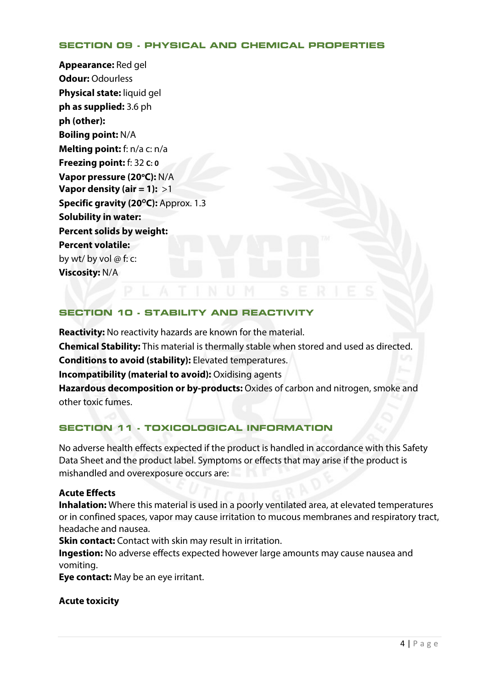#### **SECTION 09 - PHYSICAL AND CHEMICAL PROPERTIES**

**Appearance:** Red gel **Odour:** Odourless **Physical state:** liquid gel **ph as supplied:** 3.6 ph **ph (other): Boiling point:** N/A **Melting point:** f: n/a c: n/a **Freezing point:** f: 32 **C: 0 Vapor pressure (20°C): N/A Vapor density (air = 1):** >1 **Specific gravity (20°C):** Approx. 1.3 **Solubility in water: Percent solids by weight: Percent volatile:**  by wt/ by vol  $\omega$  f: c: **Viscosity:** N/A

#### **SECTION 10 - STABILITY AND REACTIVITY**

**Reactivity:** No reactivity hazards are known for the material. **Chemical Stability:** This material is thermally stable when stored and used as directed. **Conditions to avoid (stability):** Elevated temperatures. **Incompatibility (material to avoid):** Oxidising agents **Hazardous decomposition or by-products:** Oxides of carbon and nitrogen, smoke and other toxic fumes.

## **SECTION 11 - TOXICOLOGICAL INFORMATION**

No adverse health effects expected if the product is handled in accordance with this Safety Data Sheet and the product label. Symptoms or effects that may arise if the product is mishandled and overexposure occurs are:

#### **Acute Effects**

**Inhalation:** Where this material is used in a poorly ventilated area, at elevated temperatures or in confined spaces, vapor may cause irritation to mucous membranes and respiratory tract, headache and nausea.

**Skin contact:** Contact with skin may result in irritation.

**Ingestion:** No adverse effects expected however large amounts may cause nausea and vomiting.

**Eye contact:** May be an eye irritant.

#### **Acute toxicity**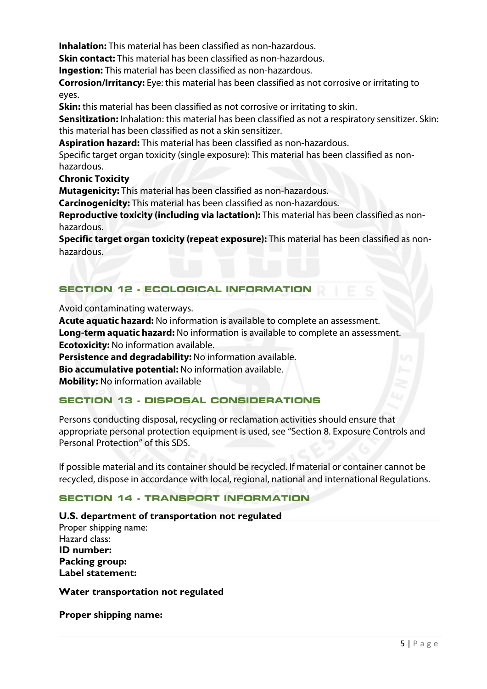**Inhalation:** This material has been classified as non-hazardous.

**Skin contact:** This material has been classified as non-hazardous.

**Ingestion:** This material has been classified as non-hazardous.

**Corrosion/Irritancy:** Eye: this material has been classified as not corrosive or irritating to eyes.

**Skin:** this material has been classified as not corrosive or irritating to skin.

**Sensitization:** Inhalation: this material has been classified as not a respiratory sensitizer. Skin: this material has been classified as not a skin sensitizer.

**Aspiration hazard:** This material has been classified as non-hazardous.

Specific target organ toxicity (single exposure): This material has been classified as nonhazardous.

**Chronic Toxicity** 

**Mutagenicity:** This material has been classified as non-hazardous.

**Carcinogenicity:** This material has been classified as non-hazardous.

**Reproductive toxicity (including via lactation):** This material has been classified as nonhazardous.

**Specific target organ toxicity (repeat exposure):** This material has been classified as nonhazardous.

## **SECTION 12 - ECOLOGICAL INFORMATION**

Avoid contaminating waterways.

**Acute aquatic hazard:** No information is available to complete an assessment. **Long-term aquatic hazard:** No information is available to complete an assessment. **Ecotoxicity:** No information available. **Persistence and degradability:** No information available. **Bio accumulative potential:** No information available. **Mobility:** No information available

## **SECTION 13 - DISPOSAL CONSIDERATIONS**

Persons conducting disposal, recycling or reclamation activities should ensure that appropriate personal protection equipment is used, see "Section 8. Exposure Controls and Personal Protection" of this SDS.

If possible material and its container should be recycled. If material or container cannot be recycled, dispose in accordance with local, regional, national and international Regulations.

## **SECTION 14 - TRANSPORT INFORMATION**

#### **U.S. department of transportation not regulated**

Proper shipping name: Hazard class: **ID number: Packing group: Label statement:**

**Water transportation not regulated** 

**Proper shipping name:**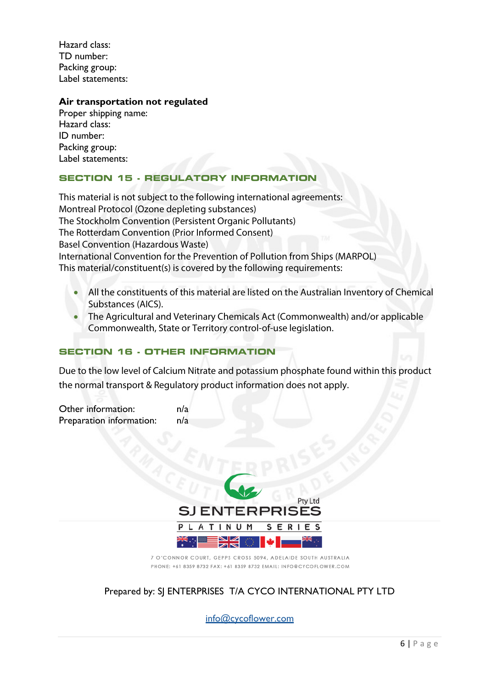Hazard class: TD number: Packing group: Label statements:

#### **Air transportation not regulated**

Proper shipping name: Hazard class: ID number: Packing group: Label statements:

## **SECTION 15 - REGULATORY INFORMATION**

This material is not subject to the following international agreements: Montreal Protocol (Ozone depleting substances) The Stockholm Convention (Persistent Organic Pollutants) The Rotterdam Convention (Prior Informed Consent) Basel Convention (Hazardous Waste) International Convention for the Prevention of Pollution from Ships (MARPOL) This material/constituent(s) is covered by the following requirements:

- All the constituents of this material are listed on the Australian Inventory of Chemical Substances (AICS).
- The Agricultural and Veterinary Chemicals Act (Commonwealth) and/or applicable Commonwealth, State or Territory control-of-use legislation.

## **SECTION 16 - OTHER INFORMATION**

Due to the low level of Calcium Nitrate and potassium phosphate found within this product the normal transport & Regulatory product information does not apply.

Other information: n/a Preparation information: n/a



<sup>7</sup> O'CONNOR COURT, GEPPS CROSS 5094, ADELAIDE SOUTH AUSTRALIA PHONE: +61 8359 8732 FAX: +61 8359 8732 EMAIL: INFO@CYCOFLOWER.COM

## Prepared by: SJ ENTERPRISES T/A CYCO INTERNATIONAL PTY LTD

info@cycoflower.com